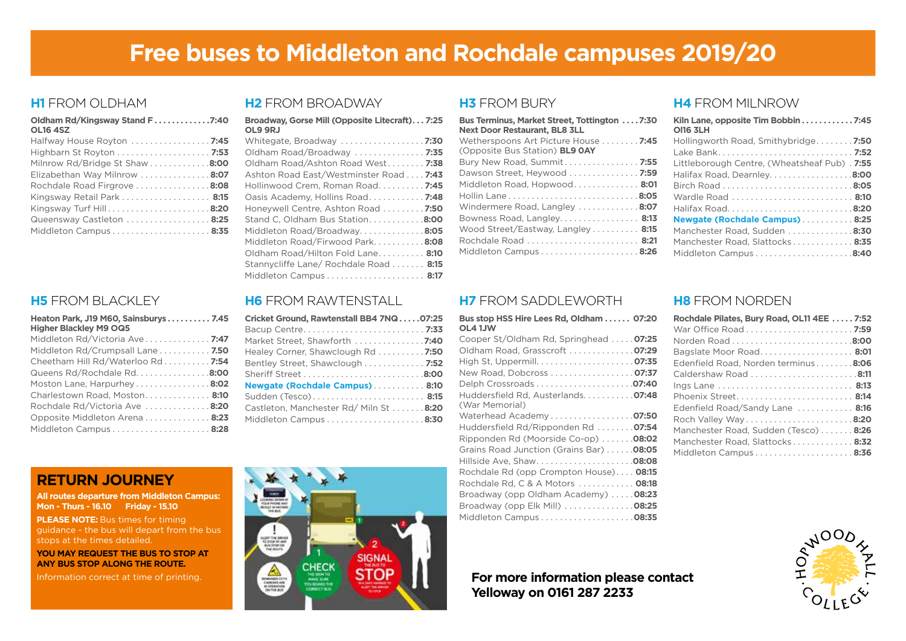# **Free buses to Middleton and Rochdale campuses 2019/20**

#### **H1** FROM OLDHAM

| Oldham Rd/Kingsway Stand F7:40<br><b>OL16 4SZ</b> |
|---------------------------------------------------|
| Halfway House Royton  7:45                        |
|                                                   |
| Milnrow Rd/Bridge St Shaw 8:00                    |
| Elizabethan Way Milnrow 8:07                      |
| Rochdale Road Firgrove 8:08                       |
| Kingsway Retail Park 8:15                         |
| Kingsway Turf Hill8:20                            |
| Queensway Castleton  8:25                         |
|                                                   |

## **H5** FROM BLACKLEY

| Heaton Park, J19 M60, Sainsburys 7.45<br><b>Higher Blackley M9 OQ5</b> |
|------------------------------------------------------------------------|
| Middleton Rd/Victoria Ave 7:47                                         |
| Middleton Rd/Crumpsall Lane 7.50                                       |
| Cheetham Hill Rd/Waterloo Rd 7:54                                      |
| Queens Rd/Rochdale Rd. 8:00                                            |
| Moston Lane, Harpurhey8:02                                             |
| Charlestown Road, Moston 8:10                                          |
| Rochdale Rd/Victoria Ave 8:20                                          |
| Opposite Middleton Arena 8:23                                          |
|                                                                        |

## **H2** FROM BROADWAY

| Broadway, Gorse Mill (Opposite Litecraft) 7:25<br>OL9 9RJ |
|-----------------------------------------------------------|
|                                                           |
| Oldham Road/Broadway  7:35                                |
| Oldham Road/Ashton Road West 7:38                         |
| Ashton Road East/Westminster Road 7:43                    |
| Hollinwood Crem, Roman Road 7:45                          |
| Oasis Academy, Hollins Road 7:48                          |
| Honeywell Centre, Ashton Road  7:50                       |
| Stand C. Oldham Bus Station8:00                           |
| Middleton Road/Broadway8:05                               |
| Middleton Road/Firwood Park8:08                           |
| Oldham Road/Hilton Fold Lane 8:10                         |
| Stannycliffe Lane/ Rochdale Road  8:15                    |
|                                                           |

# **H6** FROM RAWTENSTALL

| Cricket Ground, Rawtenstall BB4 7NQ07:25 |
|------------------------------------------|
|                                          |
| Market Street, Shawforth 7:40            |
| Healey Corner, Shawclough Rd 7:50        |
| Bentley Street, Shawclough 7:52          |
|                                          |
| Newgate (Rochdale Campus) 8:10           |
| Sudden (Tesco) 8:15                      |
| Castleton, Manchester Rd/ Miln St 8:20   |
|                                          |
|                                          |

# **RETURN JOURNEY**

**All routes departure from Middleton Campus: Mon - Thurs - 16.10 Friday - 15.10**

**PLEASE NOTE:** Bus times for timing guidance - the bus will depart from the bus stops at the times detailed.

**YOU MAY REQUEST THE BUS TO STOP AT ANY BUS STOP ALONG THE ROUTE.**



#### **H3** FROM BURY

| <b>Bus Terminus, Market Street, Tottington 7:30</b><br><b>Next Door Restaurant, BL8 3LL</b> |
|---------------------------------------------------------------------------------------------|
| Wetherspoons Art Picture House  7:45<br>(Opposite Bus Station) <b>BL9 OAY</b>               |
| Bury New Road, Summit 7:55                                                                  |
| Dawson Street, Heywood  7:59                                                                |
| Middleton Road, Hopwood 8:01                                                                |
|                                                                                             |
| Windermere Road, Langley 8:07                                                               |
| Bowness Road, Langley 8:13                                                                  |
| Wood Street/Eastway, Langley 8:15                                                           |
|                                                                                             |
|                                                                                             |

#### **H4** FROM MILNROW

| Kiln Lane, opposite Tim Bobbin 7:45<br><b>OI16 3LH</b> |
|--------------------------------------------------------|
| Hollingworth Road, Smithybridge 7:50                   |
|                                                        |
| Littleborough Centre, (Wheatsheaf Pub). 7:55           |
| Halifax Road, Dearnley8:00                             |
|                                                        |
| Wardle Road  8:10                                      |
|                                                        |
| Newgate (Rochdale Campus)8:25                          |
| Manchester Road, Sudden 8:30                           |
| Manchester Road, Slattocks 8:35                        |
|                                                        |

# **H7** FROM SADDLEWORTH

| Bus stop HSS Hire Lees Rd, Oldham  07:20<br>OL4 1JW |  |
|-----------------------------------------------------|--|
| Cooper St/Oldham Rd, Springhead  07:25              |  |
| Oldham Road, Grasscroft  07:29                      |  |
|                                                     |  |
| New Road, Dobcross 07:37                            |  |
|                                                     |  |
| Huddersfield Rd, Austerlands. 07:48                 |  |
| (War Memorial)                                      |  |
| Waterhead Academy07:50                              |  |
| Huddersfield Rd/Ripponden Rd  07:54                 |  |
| Ripponden Rd (Moorside Co-op)  . 08:02              |  |
| Grains Road Junction (Grains Bar) 08:05             |  |
| Hillside Ave, Shaw08:08                             |  |
| Rochdale Rd (opp Crompton House) 08:15              |  |
| Rochdale Rd, C & A Motors  08:18                    |  |
| Broadway (opp Oldham Academy)  08:23                |  |
| Broadway (opp Elk Mill) 08:25                       |  |
|                                                     |  |

### **H8** FROM NORDEN

| Rochdale Pilates, Bury Road, OL11 4EE  7:52 |  |
|---------------------------------------------|--|
|                                             |  |
|                                             |  |
| Bagslate Moor Road 8:01                     |  |
| Edenfield Road, Norden terminus 8:06        |  |
|                                             |  |
|                                             |  |
| Phoenix Street 8:14                         |  |
| Edenfield Road/Sandy Lane  8:16             |  |
|                                             |  |
| Manchester Road, Sudden (Tesco)8:26         |  |
| Manchester Road, Slattocks 8:32             |  |
|                                             |  |

# **Yelloway on 0161 287 2233**